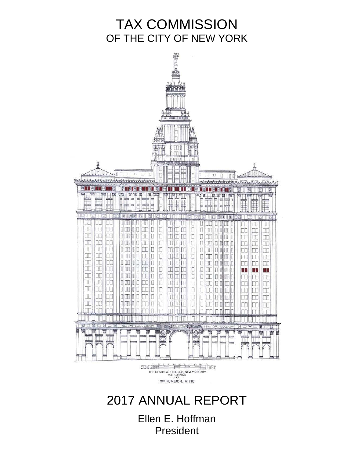# TAX COMMISSION OF THE CITY OF NEW YORK



# 2017 ANNUAL REPORT

Ellen E. Hoffman President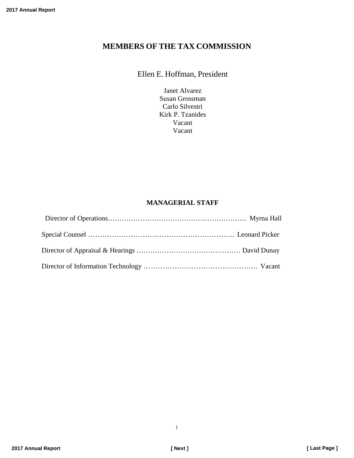### **MEMBERS OF THE TAX COMMISSION**

### Ellen E. Hoffman, President

Janet Alvarez Susan Grossman Carlo Silvestri Kirk P. Tzanides Vacant Vacant

### **MANAGERIAL STAFF**

i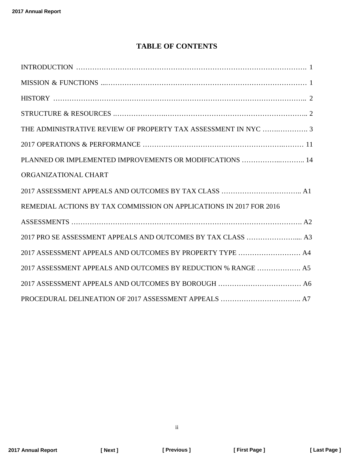# **TABLE OF CONTENTS**

| THE ADMINISTRATIVE REVIEW OF PROPERTY TAX ASSESSMENT IN NYC  3      |  |
|---------------------------------------------------------------------|--|
|                                                                     |  |
| PLANNED OR IMPLEMENTED IMPROVEMENTS OR MODIFICATIONS  14            |  |
| ORGANIZATIONAL CHART                                                |  |
|                                                                     |  |
| REMEDIAL ACTIONS BY TAX COMMISSION ON APPLICATIONS IN 2017 FOR 2016 |  |
|                                                                     |  |
|                                                                     |  |
| 2017 ASSESSMENT APPEALS AND OUTCOMES BY PROPERTY TYPE  A4           |  |
| 2017 ASSESSMENT APPEALS AND OUTCOMES BY REDUCTION % RANGE  A5       |  |
|                                                                     |  |
|                                                                     |  |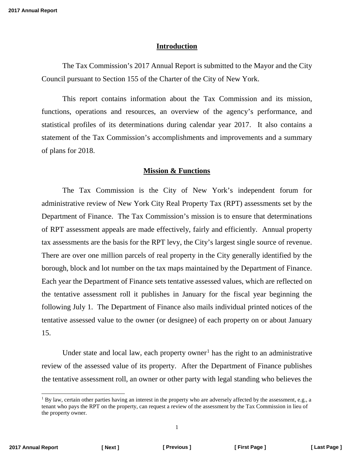#### **Introduction**

<span id="page-3-0"></span>The Tax Commission's 2017 Annual Report is submitted to the Mayor and the City Council pursuant to Section 155 of the Charter of the City of New York.

This report contains information about the Tax Commission and its mission, functions, operations and resources, an overview of the agency's performance, and statistical profiles of its determinations during calendar year 2017. It also contains a statement of the Tax Commission's accomplishments and improvements and a summary of plans for 2018.

### **Mission & Functions**

The Tax Commission is the City of New York's independent forum for administrative review of New York City Real Property Tax (RPT) assessments set by the Department of Finance. The Tax Commission's mission is to ensure that determinations of RPT assessment appeals are made effectively, fairly and efficiently. Annual property tax assessments are the basis for the RPT levy, the City's largest single source of revenue. There are over one million parcels of real property in the City generally identified by the borough, block and lot number on the tax maps maintained by the Department of Finance. Each year the Department of Finance sets tentative assessed values, which are reflected on the tentative assessment roll it publishes in January for the fiscal year beginning the following July 1. The Department of Finance also mails individual printed notices of the tentative assessed value to the owner (or designee) of each property on or about January 15.

Under state and local law, each property owner<sup>[1](#page-3-1)</sup> has the right to an administrative review of the assessed value of its property. After the Department of Finance publishes the tentative assessment roll, an owner or other party with legal standing who believes the

<span id="page-3-1"></span> $1$  By law, certain other parties having an interest in the property who are adversely affected by the assessment, e.g., a tenant who pays the RPT on the property, can request a review of the assessment by the Tax Commission in lieu of the property owner.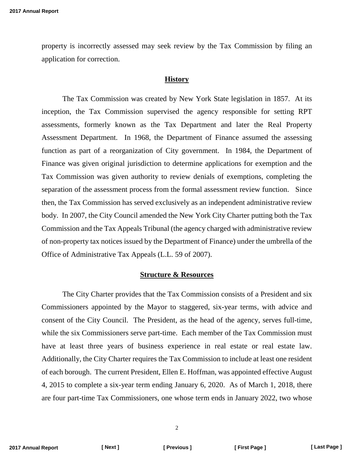<span id="page-4-0"></span>property is incorrectly assessed may seek review by the Tax Commission by filing an application for correction.

#### **History**

The Tax Commission was created by New York State legislation in 1857. At its inception, the Tax Commission supervised the agency responsible for setting RPT assessments, formerly known as the Tax Department and later the Real Property Assessment Department. In 1968, the Department of Finance assumed the assessing function as part of a reorganization of City government. In 1984, the Department of Finance was given original jurisdiction to determine applications for exemption and the Tax Commission was given authority to review denials of exemptions, completing the separation of the assessment process from the formal assessment review function. Since then, the Tax Commission has served exclusively as an independent administrative review body. In 2007, the City Council amended the New York City Charter putting both the Tax Commission and the Tax Appeals Tribunal (the agency charged with administrative review of non-property tax notices issued by the Department of Finance) under the umbrella of the Office of Administrative Tax Appeals (L.L. 59 of 2007).

#### **Structure & Resources**

The City Charter provides that the Tax Commission consists of a President and six Commissioners appointed by the Mayor to staggered, six-year terms, with advice and consent of the City Council. The President, as the head of the agency, serves full-time, while the six Commissioners serve part-time. Each member of the Tax Commission must have at least three years of business experience in real estate or real estate law. Additionally, the City Charter requires the Tax Commission to include at least one resident of each borough. The current President, Ellen E. Hoffman, was appointed effective August 4, 2015 to complete a six-year term ending January 6, 2020. As of March 1, 2018, there are four part-time Tax Commissioners, one whose term ends in January 2022, two whose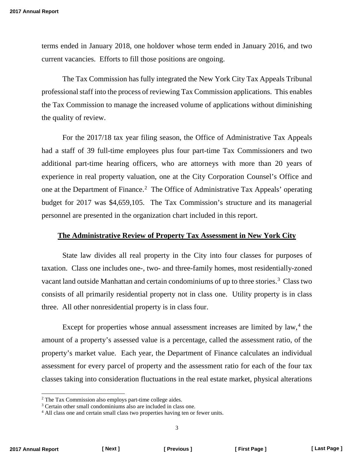<span id="page-5-0"></span>terms ended in January 2018, one holdover whose term ended in January 2016, and two current vacancies. Efforts to fill those positions are ongoing.

The Tax Commission has fully integrated the New York City Tax Appeals Tribunal professional staff into the process of reviewing Tax Commission applications. This enables the Tax Commission to manage the increased volume of applications without diminishing the quality of review.

For the 2017/18 tax year filing season, the Office of Administrative Tax Appeals had a staff of 39 full-time employees plus four part-time Tax Commissioners and two additional part-time hearing officers, who are attorneys with more than 20 years of experience in real property valuation, one at the City Corporation Counsel's Office and one at the Department of Finance.<sup>[2](#page-5-1)</sup> The Office of Administrative Tax Appeals' operating budget for 2017 was \$4,659,105. The Tax Commission's structure and its managerial personnel are presented in the organization chart included in this report.

#### **The Administrative Review of Property Tax Assessment in New York City**

State law divides all real property in the City into four classes for purposes of taxation. Class one includes one-, two- and three-family homes, most residentially-zoned vacant land outside Manhattan and certain condominiums of up to three stories.<sup>[3](#page-5-2)</sup> Class two consists of all primarily residential property not in class one. Utility property is in class three. All other nonresidential property is in class four.

Except for properties whose annual assessment increases are limited by law, $4$  the amount of a property's assessed value is a percentage, called the assessment ratio, of the property's market value. Each year, the Department of Finance calculates an individual assessment for every parcel of property and the assessment ratio for each of the four tax classes taking into consideration fluctuations in the real estate market, physical alterations

<span id="page-5-1"></span> <sup>2</sup> The Tax Commission also employs part-time college aides.

<span id="page-5-2"></span><sup>&</sup>lt;sup>3</sup> Certain other small condominiums also are included in class one.

<span id="page-5-3"></span><sup>&</sup>lt;sup>4</sup> All class one and certain small class two properties having ten or fewer units.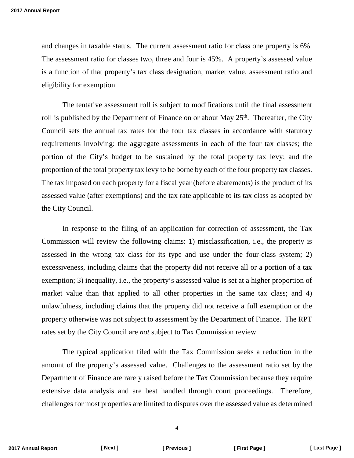and changes in taxable status. The current assessment ratio for class one property is 6%. The assessment ratio for classes two, three and four is 45%. A property's assessed value is a function of that property's tax class designation, market value, assessment ratio and eligibility for exemption.

The tentative assessment roll is subject to modifications until the final assessment roll is published by the Department of Finance on or about May  $25<sup>th</sup>$ . Thereafter, the City Council sets the annual tax rates for the four tax classes in accordance with statutory requirements involving: the aggregate assessments in each of the four tax classes; the portion of the City's budget to be sustained by the total property tax levy; and the proportion of the total property tax levy to be borne by each of the four property tax classes. The tax imposed on each property for a fiscal year (before abatements) is the product of its assessed value (after exemptions) and the tax rate applicable to its tax class as adopted by the City Council.

In response to the filing of an application for correction of assessment, the Tax Commission will review the following claims: 1) misclassification, i.e., the property is assessed in the wrong tax class for its type and use under the four-class system; 2) excessiveness, including claims that the property did not receive all or a portion of a tax exemption; 3) inequality, i.e., the property's assessed value is set at a higher proportion of market value than that applied to all other properties in the same tax class; and 4) unlawfulness, including claims that the property did not receive a full exemption or the property otherwise was not subject to assessment by the Department of Finance. The RPT rates set by the City Council are *not* subject to Tax Commission review.

The typical application filed with the Tax Commission seeks a reduction in the amount of the property's assessed value. Challenges to the assessment ratio set by the Department of Finance are rarely raised before the Tax Commission because they require extensive data analysis and are best handled through court proceedings. Therefore, challenges for most properties are limited to disputes over the assessed value as determined

4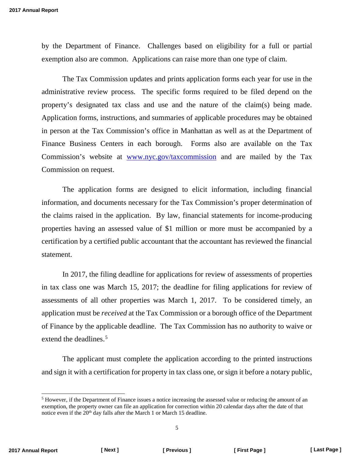by the Department of Finance. Challenges based on eligibility for a full or partial exemption also are common. Applications can raise more than one type of claim.

The Tax Commission updates and prints application forms each year for use in the administrative review process. The specific forms required to be filed depend on the property's designated tax class and use and the nature of the claim(s) being made. Application forms, instructions, and summaries of applicable procedures may be obtained in person at the Tax Commission's office in Manhattan as well as at the Department of Finance Business Centers in each borough. Forms also are available on the Tax Commission's website at [www.nyc.gov/taxcommission](http://www.nyc.gov/taxcommission) and are mailed by the Tax Commission on request.

The application forms are designed to elicit information, including financial information, and documents necessary for the Tax Commission's proper determination of the claims raised in the application. By law, financial statements for income-producing properties having an assessed value of \$1 million or more must be accompanied by a certification by a certified public accountant that the accountant has reviewed the financial statement.

In 2017, the filing deadline for applications for review of assessments of properties in tax class one was March 15, 2017; the deadline for filing applications for review of assessments of all other properties was March 1, 2017. To be considered timely, an application must be *received* at the Tax Commission or a borough office of the Department of Finance by the applicable deadline. The Tax Commission has no authority to waive or extend the deadlines. [5](#page-7-0)

The applicant must complete the application according to the printed instructions and sign it with a certification for property in tax class one, or sign it before a notary public,

5

<span id="page-7-0"></span> <sup>5</sup> However, if the Department of Finance issues a notice increasing the assessed value or reducing the amount of an exemption, the property owner can file an application for correction within 20 calendar days after the date of that notice even if the 20<sup>th</sup> day falls after the March 1 or March 15 deadline.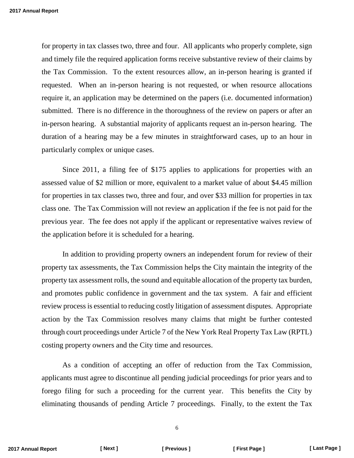for property in tax classes two, three and four. All applicants who properly complete, sign and timely file the required application forms receive substantive review of their claims by the Tax Commission. To the extent resources allow, an in-person hearing is granted if requested. When an in-person hearing is not requested, or when resource allocations require it, an application may be determined on the papers (i.e. documented information) submitted. There is no difference in the thoroughness of the review on papers or after an in-person hearing. A substantial majority of applicants request an in-person hearing. The duration of a hearing may be a few minutes in straightforward cases, up to an hour in particularly complex or unique cases.

Since 2011, a filing fee of \$175 applies to applications for properties with an assessed value of \$2 million or more, equivalent to a market value of about \$4.45 million for properties in tax classes two, three and four, and over \$33 million for properties in tax class one. The Tax Commission will not review an application if the fee is not paid for the previous year. The fee does not apply if the applicant or representative waives review of the application before it is scheduled for a hearing.

In addition to providing property owners an independent forum for review of their property tax assessments, the Tax Commission helps the City maintain the integrity of the property tax assessment rolls, the sound and equitable allocation of the property tax burden, and promotes public confidence in government and the tax system. A fair and efficient review process is essential to reducing costly litigation of assessment disputes. Appropriate action by the Tax Commission resolves many claims that might be further contested through court proceedings under Article 7 of the New York Real Property Tax Law (RPTL) costing property owners and the City time and resources.

As a condition of accepting an offer of reduction from the Tax Commission, applicants must agree to discontinue all pending judicial proceedings for prior years and to forego filing for such a proceeding for the current year. This benefits the City by eliminating thousands of pending Article 7 proceedings. Finally, to the extent the Tax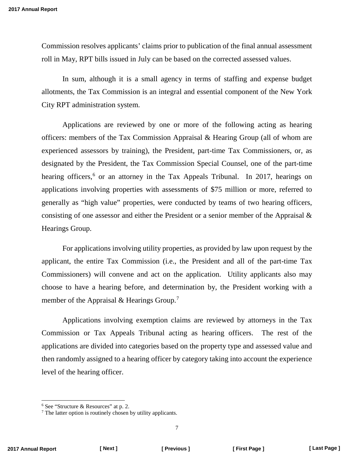Commission resolves applicants' claims prior to publication of the final annual assessment roll in May, RPT bills issued in July can be based on the corrected assessed values.

In sum, although it is a small agency in terms of staffing and expense budget allotments, the Tax Commission is an integral and essential component of the New York City RPT administration system.

Applications are reviewed by one or more of the following acting as hearing officers: members of the Tax Commission Appraisal & Hearing Group (all of whom are experienced assessors by training), the President, part-time Tax Commissioners, or, as designated by the President, the Tax Commission Special Counsel, one of the part-time hearing officers,<sup>[6](#page-9-0)</sup> or an attorney in the Tax Appeals Tribunal. In 2017, hearings on applications involving properties with assessments of \$75 million or more, referred to generally as "high value" properties, were conducted by teams of two hearing officers, consisting of one assessor and either the President or a senior member of the Appraisal & Hearings Group.

For applications involving utility properties, as provided by law upon request by the applicant, the entire Tax Commission (i.e., the President and all of the part-time Tax Commissioners) will convene and act on the application. Utility applicants also may choose to have a hearing before, and determination by, the President working with a member of the Appraisal & Hearings Group.<sup>[7](#page-9-1)</sup>

Applications involving exemption claims are reviewed by attorneys in the Tax Commission or Tax Appeals Tribunal acting as hearing officers. The rest of the applications are divided into categories based on the property type and assessed value and then randomly assigned to a hearing officer by category taking into account the experience level of the hearing officer.

<span id="page-9-0"></span> <sup>6</sup> See "Structure & Resources" at p. 2.

<span id="page-9-1"></span><sup>&</sup>lt;sup>7</sup> The latter option is routinely chosen by utility applicants.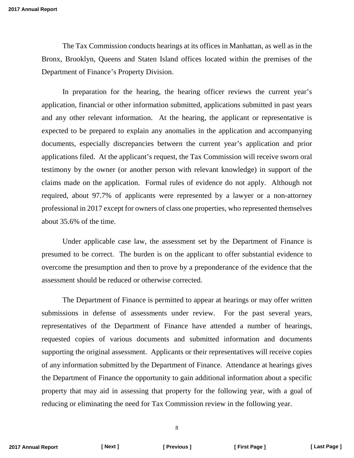The Tax Commission conducts hearings at its offices in Manhattan, as well as in the Bronx, Brooklyn, Queens and Staten Island offices located within the premises of the Department of Finance's Property Division.

In preparation for the hearing, the hearing officer reviews the current year's application, financial or other information submitted, applications submitted in past years and any other relevant information. At the hearing, the applicant or representative is expected to be prepared to explain any anomalies in the application and accompanying documents, especially discrepancies between the current year's application and prior applications filed. At the applicant's request, the Tax Commission will receive sworn oral testimony by the owner (or another person with relevant knowledge) in support of the claims made on the application. Formal rules of evidence do not apply. Although not required, about 97.7% of applicants were represented by a lawyer or a non-attorney professional in 2017 except for owners of class one properties, who represented themselves about 35.6% of the time.

Under applicable case law, the assessment set by the Department of Finance is presumed to be correct. The burden is on the applicant to offer substantial evidence to overcome the presumption and then to prove by a preponderance of the evidence that the assessment should be reduced or otherwise corrected.

The Department of Finance is permitted to appear at hearings or may offer written submissions in defense of assessments under review. For the past several years, representatives of the Department of Finance have attended a number of hearings, requested copies of various documents and submitted information and documents supporting the original assessment. Applicants or their representatives will receive copies of any information submitted by the Department of Finance. Attendance at hearings gives the Department of Finance the opportunity to gain additional information about a specific property that may aid in assessing that property for the following year, with a goal of reducing or eliminating the need for Tax Commission review in the following year.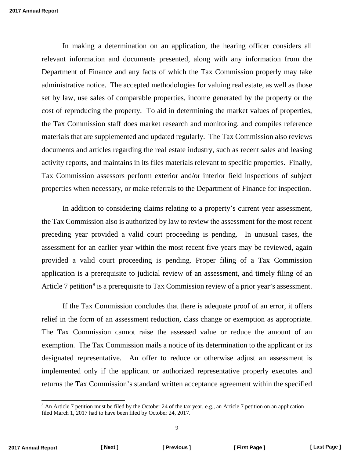In making a determination on an application, the hearing officer considers all relevant information and documents presented, along with any information from the Department of Finance and any facts of which the Tax Commission properly may take administrative notice. The accepted methodologies for valuing real estate, as well as those set by law, use sales of comparable properties, income generated by the property or the cost of reproducing the property. To aid in determining the market values of properties, the Tax Commission staff does market research and monitoring, and compiles reference materials that are supplemented and updated regularly. The Tax Commission also reviews documents and articles regarding the real estate industry, such as recent sales and leasing activity reports, and maintains in its files materials relevant to specific properties. Finally, Tax Commission assessors perform exterior and/or interior field inspections of subject properties when necessary, or make referrals to the Department of Finance for inspection.

In addition to considering claims relating to a property's current year assessment, the Tax Commission also is authorized by law to review the assessment for the most recent preceding year provided a valid court proceeding is pending. In unusual cases, the assessment for an earlier year within the most recent five years may be reviewed, again provided a valid court proceeding is pending. Proper filing of a Tax Commission application is a prerequisite to judicial review of an assessment, and timely filing of an Article 7 petition<sup>[8](#page-11-0)</sup> is a prerequisite to Tax Commission review of a prior year's assessment.

If the Tax Commission concludes that there is adequate proof of an error, it offers relief in the form of an assessment reduction, class change or exemption as appropriate. The Tax Commission cannot raise the assessed value or reduce the amount of an exemption. The Tax Commission mails a notice of its determination to the applicant or its designated representative. An offer to reduce or otherwise adjust an assessment is implemented only if the applicant or authorized representative properly executes and returns the Tax Commission's standard written acceptance agreement within the specified

<span id="page-11-0"></span><sup>&</sup>lt;sup>8</sup> An Article 7 petition must be filed by the October 24 of the tax year, e.g., an Article 7 petition on an application filed March 1, 2017 had to have been filed by October 24, 2017.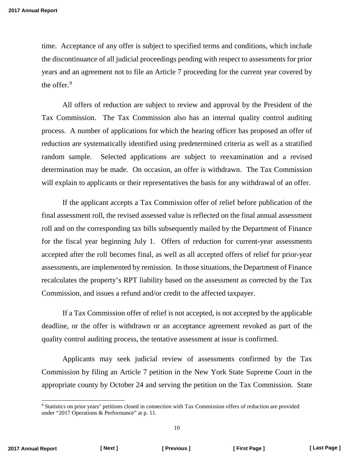time. Acceptance of any offer is subject to specified terms and conditions, which include the discontinuance of all judicial proceedings pending with respect to assessments for prior years and an agreement not to file an Article 7 proceeding for the current year covered by the offer. [9](#page-12-0)

All offers of reduction are subject to review and approval by the President of the Tax Commission. The Tax Commission also has an internal quality control auditing process. A number of applications for which the hearing officer has proposed an offer of reduction are systematically identified using predetermined criteria as well as a stratified random sample. Selected applications are subject to reexamination and a revised determination may be made. On occasion, an offer is withdrawn. The Tax Commission will explain to applicants or their representatives the basis for any withdrawal of an offer.

If the applicant accepts a Tax Commission offer of relief before publication of the final assessment roll, the revised assessed value is reflected on the final annual assessment roll and on the corresponding tax bills subsequently mailed by the Department of Finance for the fiscal year beginning July 1. Offers of reduction for current-year assessments accepted after the roll becomes final, as well as all accepted offers of relief for prior-year assessments, are implemented by remission. In those situations, the Department of Finance recalculates the property's RPT liability based on the assessment as corrected by the Tax Commission, and issues a refund and/or credit to the affected taxpayer.

If a Tax Commission offer of relief is not accepted, is not accepted by the applicable deadline, or the offer is withdrawn or an acceptance agreement revoked as part of the quality control auditing process, the tentative assessment at issue is confirmed.

Applicants may seek judicial review of assessments confirmed by the Tax Commission by filing an Article 7 petition in the New York State Supreme Court in the appropriate county by October 24 and serving the petition on the Tax Commission. State

<span id="page-12-0"></span> <sup>9</sup> Statistics on prior years' petitions closed in connection with Tax Commission offers of reduction are provided under "2017 Operations & Performance" at p. 11.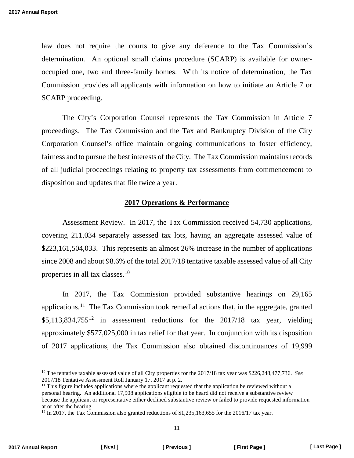<span id="page-13-0"></span>law does not require the courts to give any deference to the Tax Commission's determination. An optional small claims procedure (SCARP) is available for owneroccupied one, two and three-family homes. With its notice of determination, the Tax Commission provides all applicants with information on how to initiate an Article 7 or SCARP proceeding.

The City's Corporation Counsel represents the Tax Commission in Article 7 proceedings. The Tax Commission and the Tax and Bankruptcy Division of the City Corporation Counsel's office maintain ongoing communications to foster efficiency, fairness and to pursue the best interests of the City. The Tax Commission maintains records of all judicial proceedings relating to property tax assessments from commencement to disposition and updates that file twice a year.

### **2017 Operations & Performance**

Assessment Review. In 2017, the Tax Commission received 54,730 applications, covering 211,034 separately assessed tax lots, having an aggregate assessed value of \$223,161,504,033. This represents an almost 26% increase in the number of applications since 2008 and about 98.6% of the total 2017/18 tentative taxable assessed value of all City properties in all tax classes.[10](#page-13-1)

In 2017, the Tax Commission provided substantive hearings on 29,165 applications.<sup>[11](#page-13-2)</sup> The Tax Commission took remedial actions that, in the aggregate, granted  $$5,113,834,755^{12}$$  $$5,113,834,755^{12}$$  $$5,113,834,755^{12}$$  in assessment reductions for the 2017/18 tax year, yielding approximately \$577,025,000 in tax relief for that year. In conjunction with its disposition of 2017 applications, the Tax Commission also obtained discontinuances of 19,999

<span id="page-13-1"></span> <sup>10</sup> The tentative taxable assessed value of all City properties for the 2017/18 tax year was \$226,248,477,736. *See*  2017/18 Tentative Assessment Roll January 17, 2017 at p. 2.

<span id="page-13-2"></span> $11$  This figure includes applications where the applicant requested that the application be reviewed without a personal hearing. An additional 17,908 applications eligible to be heard did not receive a substantive review because the applicant or representative either declined substantive review or failed to provide requested information at or after the hearing.

<span id="page-13-3"></span><sup>&</sup>lt;sup>12</sup> In 2017, the Tax Commission also granted reductions of \$1,235,163,655 for the 2016/17 tax year.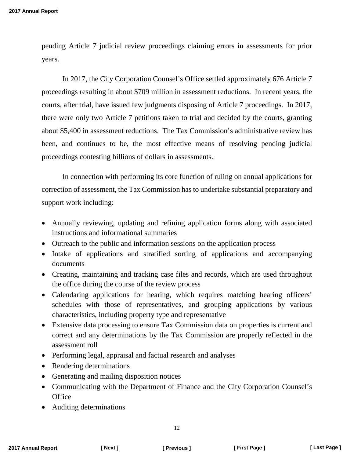pending Article 7 judicial review proceedings claiming errors in assessments for prior years.

In 2017, the City Corporation Counsel's Office settled approximately 676 Article 7 proceedings resulting in about \$709 million in assessment reductions. In recent years, the courts, after trial, have issued few judgments disposing of Article 7 proceedings. In 2017, there were only two Article 7 petitions taken to trial and decided by the courts, granting about \$5,400 in assessment reductions. The Tax Commission's administrative review has been, and continues to be, the most effective means of resolving pending judicial proceedings contesting billions of dollars in assessments.

In connection with performing its core function of ruling on annual applications for correction of assessment, the Tax Commission has to undertake substantial preparatory and support work including:

- Annually reviewing, updating and refining application forms along with associated instructions and informational summaries
- Outreach to the public and information sessions on the application process
- Intake of applications and stratified sorting of applications and accompanying documents
- Creating, maintaining and tracking case files and records, which are used throughout the office during the course of the review process
- Calendaring applications for hearing, which requires matching hearing officers' schedules with those of representatives, and grouping applications by various characteristics, including property type and representative
- Extensive data processing to ensure Tax Commission data on properties is current and correct and any determinations by the Tax Commission are properly reflected in the assessment roll
- Performing legal, appraisal and factual research and analyses
- Rendering determinations
- Generating and mailing disposition notices
- Communicating with the Department of Finance and the City Corporation Counsel's **Office**
- Auditing determinations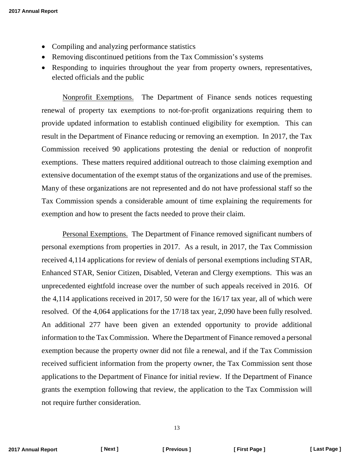- Compiling and analyzing performance statistics
- Removing discontinued petitions from the Tax Commission's systems
- Responding to inquiries throughout the year from property owners, representatives, elected officials and the public

Nonprofit Exemptions. The Department of Finance sends notices requesting renewal of property tax exemptions to not-for-profit organizations requiring them to provide updated information to establish continued eligibility for exemption. This can result in the Department of Finance reducing or removing an exemption. In 2017, the Tax Commission received 90 applications protesting the denial or reduction of nonprofit exemptions. These matters required additional outreach to those claiming exemption and extensive documentation of the exempt status of the organizations and use of the premises. Many of these organizations are not represented and do not have professional staff so the Tax Commission spends a considerable amount of time explaining the requirements for exemption and how to present the facts needed to prove their claim.

Personal Exemptions. The Department of Finance removed significant numbers of personal exemptions from properties in 2017. As a result, in 2017, the Tax Commission received 4,114 applications for review of denials of personal exemptions including STAR, Enhanced STAR, Senior Citizen, Disabled, Veteran and Clergy exemptions. This was an unprecedented eightfold increase over the number of such appeals received in 2016. Of the 4,114 applications received in 2017, 50 were for the 16/17 tax year, all of which were resolved. Of the 4,064 applications for the 17/18 tax year, 2,090 have been fully resolved. An additional 277 have been given an extended opportunity to provide additional information to the Tax Commission. Where the Department of Finance removed a personal exemption because the property owner did not file a renewal, and if the Tax Commission received sufficient information from the property owner, the Tax Commission sent those applications to the Department of Finance for initial review. If the Department of Finance grants the exemption following that review, the application to the Tax Commission will not require further consideration.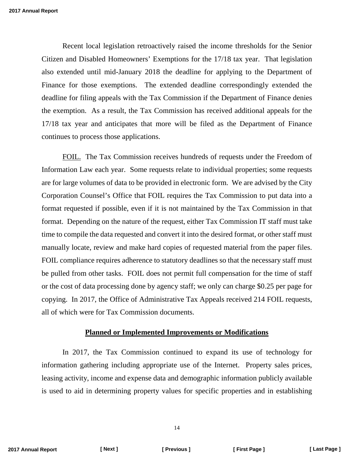<span id="page-16-0"></span>Recent local legislation retroactively raised the income thresholds for the Senior Citizen and Disabled Homeowners' Exemptions for the 17/18 tax year. That legislation also extended until mid-January 2018 the deadline for applying to the Department of Finance for those exemptions. The extended deadline correspondingly extended the deadline for filing appeals with the Tax Commission if the Department of Finance denies the exemption. As a result, the Tax Commission has received additional appeals for the 17/18 tax year and anticipates that more will be filed as the Department of Finance continues to process those applications.

FOIL. The Tax Commission receives hundreds of requests under the Freedom of Information Law each year. Some requests relate to individual properties; some requests are for large volumes of data to be provided in electronic form. We are advised by the City Corporation Counsel's Office that FOIL requires the Tax Commission to put data into a format requested if possible, even if it is not maintained by the Tax Commission in that format. Depending on the nature of the request, either Tax Commission IT staff must take time to compile the data requested and convert it into the desired format, or other staff must manually locate, review and make hard copies of requested material from the paper files. FOIL compliance requires adherence to statutory deadlines so that the necessary staff must be pulled from other tasks. FOIL does not permit full compensation for the time of staff or the cost of data processing done by agency staff; we only can charge \$0.25 per page for copying. In 2017, the Office of Administrative Tax Appeals received 214 FOIL requests, all of which were for Tax Commission documents.

### **Planned or Implemented Improvements or Modifications**

In 2017, the Tax Commission continued to expand its use of technology for information gathering including appropriate use of the Internet. Property sales prices, leasing activity, income and expense data and demographic information publicly available is used to aid in determining property values for specific properties and in establishing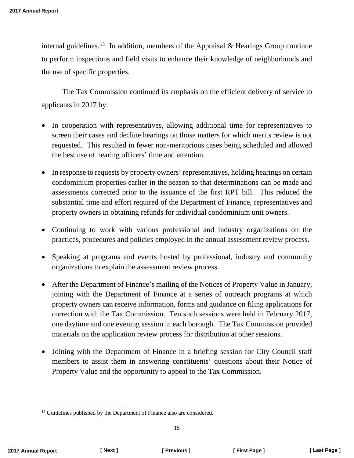internal guidelines.<sup>[13](#page-17-0)</sup> In addition, members of the Appraisal & Hearings Group continue to perform inspections and field visits to enhance their knowledge of neighborhoods and the use of specific properties.

The Tax Commission continued its emphasis on the efficient delivery of service to applicants in 2017 by:

- In cooperation with representatives, allowing additional time for representatives to screen their cases and decline hearings on those matters for which merits review is not requested. This resulted in fewer non-meritorious cases being scheduled and allowed the best use of hearing officers' time and attention.
- In response to requests by property owners' representatives, holding hearings on certain condominium properties earlier in the season so that determinations can be made and assessments corrected prior to the issuance of the first RPT bill. This reduced the substantial time and effort required of the Department of Finance, representatives and property owners in obtaining refunds for individual condominium unit owners.
- Continuing to work with various professional and industry organizations on the practices, procedures and policies employed in the annual assessment review process.
- Speaking at programs and events hosted by professional, industry and community organizations to explain the assessment review process.
- After the Department of Finance's mailing of the Notices of Property Value in January, joining with the Department of Finance at a series of outreach programs at which property owners can receive information, forms and guidance on filing applications for correction with the Tax Commission. Ten such sessions were held in February 2017, one daytime and one evening session in each borough. The Tax Commission provided materials on the application review process for distribution at other sessions.
- Joining with the Department of Finance in a briefing session for City Council staff members to assist them in answering constituents' questions about their Notice of Property Value and the opportunity to appeal to the Tax Commission.

<span id="page-17-0"></span><sup>&</sup>lt;sup>13</sup> Guidelines published by the Department of Finance also are considered.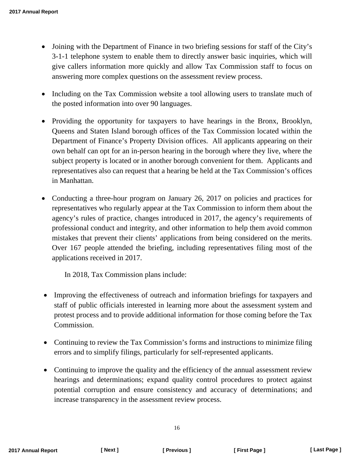- Joining with the Department of Finance in two briefing sessions for staff of the City's 3-1-1 telephone system to enable them to directly answer basic inquiries, which will give callers information more quickly and allow Tax Commission staff to focus on answering more complex questions on the assessment review process.
- Including on the Tax Commission website a tool allowing users to translate much of the posted information into over 90 languages.
- Providing the opportunity for taxpayers to have hearings in the Bronx, Brooklyn, Queens and Staten Island borough offices of the Tax Commission located within the Department of Finance's Property Division offices. All applicants appearing on their own behalf can opt for an in-person hearing in the borough where they live, where the subject property is located or in another borough convenient for them. Applicants and representatives also can request that a hearing be held at the Tax Commission's offices in Manhattan.
- Conducting a three-hour program on January 26, 2017 on policies and practices for representatives who regularly appear at the Tax Commission to inform them about the agency's rules of practice, changes introduced in 2017, the agency's requirements of professional conduct and integrity, and other information to help them avoid common mistakes that prevent their clients' applications from being considered on the merits. Over 167 people attended the briefing, including representatives filing most of the applications received in 2017.

In 2018, Tax Commission plans include:

- Improving the effectiveness of outreach and information briefings for taxpayers and staff of public officials interested in learning more about the assessment system and protest process and to provide additional information for those coming before the Tax Commission.
- Continuing to review the Tax Commission's forms and instructions to minimize filing errors and to simplify filings, particularly for self-represented applicants.
- Continuing to improve the quality and the efficiency of the annual assessment review hearings and determinations; expand quality control procedures to protect against potential corruption and ensure consistency and accuracy of determinations; and increase transparency in the assessment review process.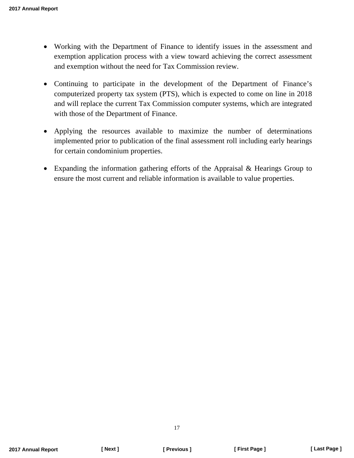- Working with the Department of Finance to identify issues in the assessment and exemption application process with a view toward achieving the correct assessment and exemption without the need for Tax Commission review.
- Continuing to participate in the development of the Department of Finance's computerized property tax system (PTS), which is expected to come on line in 2018 and will replace the current Tax Commission computer systems, which are integrated with those of the Department of Finance.
- Applying the resources available to maximize the number of determinations implemented prior to publication of the final assessment roll including early hearings for certain condominium properties.
- Expanding the information gathering efforts of the Appraisal & Hearings Group to ensure the most current and reliable information is available to value properties.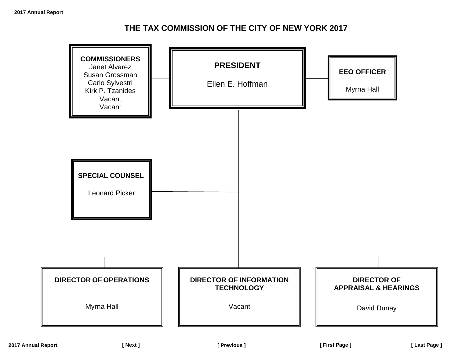# **THE TAX COMMISSION OF THE CITY OF NEW YORK 2017**

<span id="page-20-0"></span>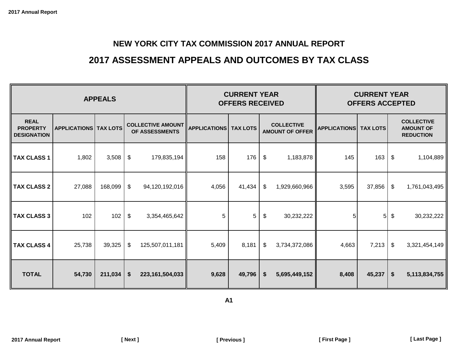# **2017 ASSESSMENT APPEALS AND OUTCOMES BY TAX CLASS**

<span id="page-21-0"></span>

|                                                      | <b>APPEALS</b>                 |         |                                            |                    |       | <b>CURRENT YEAR</b><br><b>OFFERS RECEIVED</b> |                           | <b>CURRENT YEAR</b><br><b>OFFERS ACCEPTED</b> |       |        |                                |               |                                             |  |                                        |  |  |                                                           |
|------------------------------------------------------|--------------------------------|---------|--------------------------------------------|--------------------|-------|-----------------------------------------------|---------------------------|-----------------------------------------------|-------|--------|--------------------------------|---------------|---------------------------------------------|--|----------------------------------------|--|--|-----------------------------------------------------------|
| <b>REAL</b><br><b>PROPERTY</b><br><b>DESIGNATION</b> | <b>APPLICATIONS   TAX LOTS</b> |         | <b>COLLECTIVE AMOUNT</b><br>OF ASSESSMENTS |                    |       |                                               |                           |                                               |       |        | <b>APPLICATIONS   TAX LOTS</b> |               | <b>COLLECTIVE</b><br><b>AMOUNT OF OFFER</b> |  | <b>APPLICATIONS</b><br><b>TAX LOTS</b> |  |  | <b>COLLECTIVE</b><br><b>AMOUNT OF</b><br><b>REDUCTION</b> |
| <b>TAX CLASS 1</b>                                   | 1,802                          | 3,508   | \$                                         | 179,835,194        | 158   | 176                                           | \$                        | 1,183,878                                     | 145   | 163    | \$                             | 1,104,889     |                                             |  |                                        |  |  |                                                           |
| <b>TAX CLASS 2</b>                                   | 27,088                         | 168,099 | $\sqrt[6]{\frac{1}{2}}$                    | 94,120,192,016     | 4,056 | 41,434                                        | $\boldsymbol{\mathsf{S}}$ | 1,929,660,966                                 | 3,595 | 37,856 | \$                             | 1,761,043,495 |                                             |  |                                        |  |  |                                                           |
| <b>TAX CLASS 3</b>                                   | 102                            | 102     | \$                                         | 3,354,465,642      | 5     | 5                                             | \$                        | 30,232,222                                    | 5     | 5      | \$                             | 30,232,222    |                                             |  |                                        |  |  |                                                           |
| <b>TAX CLASS 4</b>                                   | 25,738                         | 39,325  | $\boldsymbol{\mathsf{S}}$                  | 125,507,011,181    | 5,409 | 8,181                                         | \$                        | 3,734,372,086                                 | 4,663 | 7,213  | \$                             | 3,321,454,149 |                                             |  |                                        |  |  |                                                           |
| <b>TOTAL</b>                                         | 54,730                         | 211,034 | \$                                         | 223, 161, 504, 033 | 9,628 | 49,796                                        | \$                        | 5,695,449,152                                 | 8,408 | 45,237 | $\boldsymbol{\mathsf{s}}$      | 5,113,834,755 |                                             |  |                                        |  |  |                                                           |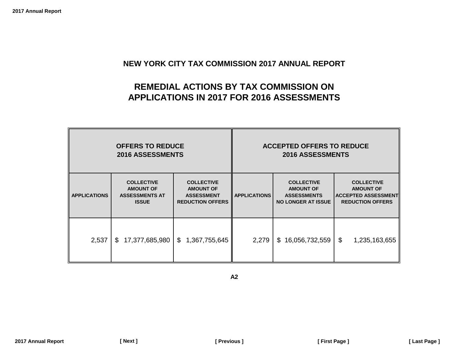# **REMEDIAL ACTIONS BY TAX COMMISSION ON APPLICATIONS IN 2017 FOR 2016 ASSESSMENTS**

<span id="page-22-0"></span>

|                     | <b>OFFERS TO REDUCE</b><br><b>2016 ASSESSMENTS</b>                             |                                                                                       |                     | <b>ACCEPTED OFFERS TO REDUCE</b><br><b>2016 ASSESSMENTS</b>                              |                                                                                                |
|---------------------|--------------------------------------------------------------------------------|---------------------------------------------------------------------------------------|---------------------|------------------------------------------------------------------------------------------|------------------------------------------------------------------------------------------------|
| <b>APPLICATIONS</b> | <b>COLLECTIVE</b><br><b>AMOUNT OF</b><br><b>ASSESSMENTS AT</b><br><b>ISSUE</b> | <b>COLLECTIVE</b><br><b>AMOUNT OF</b><br><b>ASSESSMENT</b><br><b>REDUCTION OFFERS</b> | <b>APPLICATIONS</b> | <b>COLLECTIVE</b><br><b>AMOUNT OF</b><br><b>ASSESSMENTS</b><br><b>NO LONGER AT ISSUE</b> | <b>COLLECTIVE</b><br><b>AMOUNT OF</b><br><b>ACCEPTED ASSESSMENT</b><br><b>REDUCTION OFFERS</b> |
| 2,537               | 17,377,685,980<br>\$                                                           | 1,367,755,645<br>\$                                                                   | 2,279               | \$16,056,732,559                                                                         | $\mathfrak{S}$<br>1,235,163,655                                                                |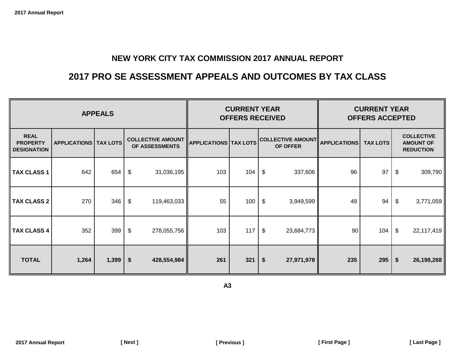# **2017 PRO SE ASSESSMENT APPEALS AND OUTCOMES BY TAX CLASS**

<span id="page-23-0"></span>

|                                                      |                                                                                                                                                       | <b>CURRENT YEAR</b><br><b>OFFERS RECEIVED</b> |                                           |     | <b>CURRENT YEAR</b><br><b>OFFERS ACCEPTED</b> |               |                                                           |     |     |    |            |
|------------------------------------------------------|-------------------------------------------------------------------------------------------------------------------------------------------------------|-----------------------------------------------|-------------------------------------------|-----|-----------------------------------------------|---------------|-----------------------------------------------------------|-----|-----|----|------------|
| <b>REAL</b><br><b>PROPERTY</b><br><b>DESIGNATION</b> | <b>COLLECTIVE AMOUNT</b><br><b>COLLECTIVE AMOUNT </b><br><b>APPLICATIONS TAX LOTS</b><br><b>APPLICATIONS   TAX LOTS</b><br>OF ASSESSMENTS<br>OF OFFER |                                               |                                           |     | <b>APPLICATIONS</b><br><b>TAX LOTS</b>        |               | <b>COLLECTIVE</b><br><b>AMOUNT OF</b><br><b>REDUCTION</b> |     |     |    |            |
| <b>TAX CLASS 1</b>                                   | 642                                                                                                                                                   | 654                                           | \$<br>31,036,195                          | 103 | 104                                           | \$            | 337,606                                                   | 96  | 97  | \$ | 309,790    |
| <b>TAX CLASS 2</b>                                   | 270                                                                                                                                                   | 346                                           | 119,463,033<br>\$                         | 55  | 100                                           | \$            | 3,949,599                                                 | 49  | 94  | \$ | 3,771,059  |
| <b>TAX CLASS 4</b>                                   | 352                                                                                                                                                   | 399                                           | $\boldsymbol{\mathsf{\$}}$<br>278,055,756 | 103 | 117                                           | $\frac{1}{2}$ | 23,684,773                                                | 90  | 104 | \$ | 22,117,419 |
| <b>TOTAL</b>                                         | 1,264                                                                                                                                                 | 1,399                                         | \$<br>428,554,984                         | 261 | 321                                           | \$            | 27,971,978                                                | 235 | 295 | \$ | 26,198,268 |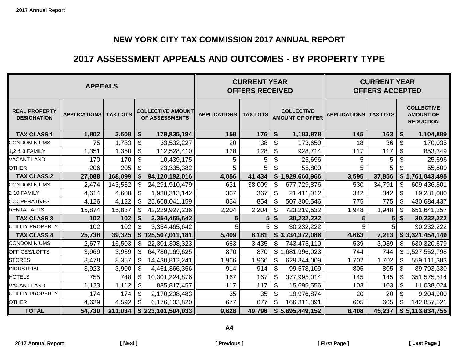# **2017 ASSESSMENT APPEALS AND OUTCOMES - BY PROPERTY TYPE**

<span id="page-24-0"></span>

| <b>APPEALS</b>                             |                     |                 |                                            |                   |                     | <b>CURRENT YEAR</b><br><b>OFFERS RECEIVED</b> |                           | <b>CURRENT YEAR</b><br><b>OFFERS ACCEPTED</b> |                                |                |                           |                                                           |
|--------------------------------------------|---------------------|-----------------|--------------------------------------------|-------------------|---------------------|-----------------------------------------------|---------------------------|-----------------------------------------------|--------------------------------|----------------|---------------------------|-----------------------------------------------------------|
| <b>REAL PROPERTY</b><br><b>DESIGNATION</b> | <b>APPLICATIONS</b> | <b>TAX LOTS</b> | <b>COLLECTIVE AMOUNT</b><br>OF ASSESSMENTS |                   | <b>APPLICATIONS</b> | <b>TAX LOTS</b>                               |                           | <b>COLLECTIVE</b><br><b>AMOUNT OF OFFER</b>   | <b>APPLICATIONS   TAX LOTS</b> |                |                           | <b>COLLECTIVE</b><br><b>AMOUNT OF</b><br><b>REDUCTION</b> |
| <b>TAX CLASS 1</b>                         | 1,802               | 3,508           | \$                                         | 179,835,194       | 158                 | 176                                           | \$                        | 1,183,878                                     | 145                            | 163            | \$                        | 1,104,889                                                 |
| <b>CONDOMINIUMS</b>                        | 75                  | 1,783           | \$                                         | 33,532,227        | 20                  | 38                                            | \$                        | 173,659                                       | 18                             | 36             | \$                        | 170,035                                                   |
| 1,2 & 3 FAMILY                             | 1,351               | 1,350           | $\boldsymbol{\mathsf{S}}$                  | 112,528,410       | 128                 | 128                                           | \$                        | 928,714                                       | 117                            | 117            | \$                        | 853,349                                                   |
| <b>VACANT LAND</b>                         | 170                 | 170             | $\boldsymbol{\mathsf{S}}$                  | 10,439,175        | 5                   | 5                                             | $\boldsymbol{\mathsf{S}}$ | 25,696                                        | 5                              | 5              | $\mathcal{S}$             | 25,696                                                    |
| <b>OTHER</b>                               | 206                 | 205             | \$                                         | 23,335,382        | 5                   | 5                                             | \$                        | 55,809                                        | 5                              | 5              | \$                        | 55,809                                                    |
| <b>TAX CLASS 2</b>                         | 27,088              | 168,099         | \$                                         | 94,120,192,016    | 4,056               | 41,434                                        |                           | \$1,929,660,966                               | 3,595                          | 37,856         | \$                        | 1,761,043,495                                             |
| <b>CONDOMINIUMS</b>                        | 2,474               | 143,532         | \$                                         | 24,291,910,479    | 631                 | 38,009                                        | \$                        | 677,729,876                                   | 530                            | 34,791         | \$                        | 609,436,801                                               |
| 2-10 FAMILY                                | 4,614               | 4,608           | \$                                         | 1,930,313,142     | 367                 | 367                                           | \$                        | 21,411,012                                    | 342                            | 342            | \$                        | 19,281,000                                                |
| <b>COOPERATIVES</b>                        | 4,126               | 4,122           | \$                                         | 25,668,041,159    | 854                 | 854                                           | $\boldsymbol{\mathsf{S}}$ | 507,300,546                                   | 775                            | 775            | \$                        | 480,684,437                                               |
| <b>RENTAL APTS</b>                         | 15,874              | 15,837          | \$                                         | 42,229,927,236    | 2,204               | 2,204                                         | \$                        | 723,219,532                                   | 1,948                          | 1,948          | \$                        | 651,641,257                                               |
| <b>TAX CLASS 3</b>                         | 102                 | 102             | \$                                         | 3,354,465,642     | 5                   | 5                                             | $\boldsymbol{\hat{z}}$    | 30,232,222                                    | 5                              | 5 <sup>1</sup> | \$                        | 30,232,222                                                |
| UTILITY PROPERTY                           | 102                 | 102             | $\boldsymbol{\mathsf{S}}$                  | 3,354,465,642     | 5                   | 5                                             | $\boldsymbol{\theta}$     | 30,232,222                                    | 5                              | 5 <sub>l</sub> |                           | 30,232,222                                                |
| <b>TAX CLASS 4</b>                         | 25,738              | 39,325          | \$                                         | 125,507,011,181   | 5,409               | 8,181                                         |                           | \$3,734,372,086                               | 4,663                          | 7,213          |                           | \$3,321,454,149                                           |
| <b>CONDOMINIUMS</b>                        | 2,677               | 16,503          | \$                                         | 22,301,308,323    | 663                 | 3,435                                         | \$                        | 743,475,110                                   | 539                            | 3,089          | \$                        | 630,320,679                                               |
| OFFICES/LOFTS                              | 3,969               | 3,939           | \$                                         | 64,780,169,625    | 870                 | 870                                           | $\mathfrak{S}$            | ,681,996,023                                  | 744                            | 744            | \$                        | ,527,552,798                                              |
| <b>STORES</b>                              | 8,478               | 8,357           | $\mathfrak{S}$                             | 14,430,812,241    | 1,966               | 1,966                                         | $\boldsymbol{\mathsf{S}}$ | 629,344,009                                   | 1,702                          | 1,702          | $\boldsymbol{\mathsf{S}}$ | 559,111,383                                               |
| <b>INDUSTRIAL</b>                          | 3,923               | 3,900           | \$                                         | 4,461,366,356     | 914                 | 914                                           | $\boldsymbol{\mathsf{S}}$ | 99,578,109                                    | 805                            | 805            | \$                        | 89,793,330                                                |
| <b>HOTELS</b>                              | 755                 | 748             | $\boldsymbol{\mathsf{S}}$                  | 10,301,224,876    | 167                 | 167                                           | $\boldsymbol{\theta}$     | 377,995,014                                   | 145                            | 145            | \$                        | 351,575,514                                               |
| <b>VACANT LAND</b>                         | 1,123               | 1,112           | $\boldsymbol{\mathsf{S}}$                  | 885,817,457       | 117                 | 117                                           | $\boldsymbol{\mathsf{S}}$ | 15,695,556                                    | 103                            | 103            | $\boldsymbol{\mathsf{S}}$ | 11,038,024                                                |
| UTILITY PROPERTY                           | 174                 | 174             | \$                                         | 2,170,208,483     | 35                  | 35                                            | $\boldsymbol{\theta}$     | 19,976,874                                    | 20                             | 20             | \$                        | 9,204,900                                                 |
| <b>OTHER</b>                               | 4,639               | 4,592           | $\mathfrak{S}$                             | 6,176,103,820     | 677                 | 677                                           | $\mathcal{L}$             | 166,311,391                                   | 605                            | 605            | \$                        | 142,857,521                                               |
| <b>TOTAL</b>                               | 54,730              | 211,034         |                                            | \$223,161,504,033 | 9,628               | 49,796                                        |                           | \$5,695,449,152                               | 8,408                          | 45,237         |                           | \$5,113,834,755                                           |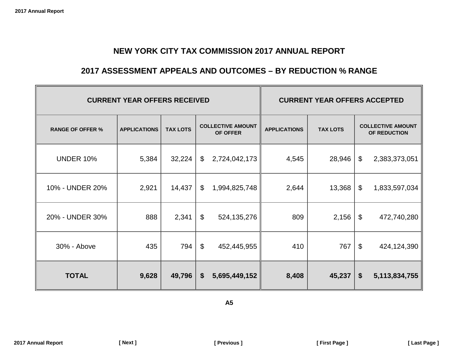### **2017 ASSESSMENT APPEALS AND OUTCOMES – BY REDUCTION % RANGE**

<span id="page-25-0"></span>

|                         | <b>CURRENT YEAR OFFERS RECEIVED</b> | <b>CURRENT YEAR OFFERS ACCEPTED</b> |                           |                                      |                     |                 |                            |                                          |  |
|-------------------------|-------------------------------------|-------------------------------------|---------------------------|--------------------------------------|---------------------|-----------------|----------------------------|------------------------------------------|--|
| <b>RANGE OF OFFER %</b> | <b>APPLICATIONS</b>                 | <b>TAX LOTS</b>                     |                           | <b>COLLECTIVE AMOUNT</b><br>OF OFFER | <b>APPLICATIONS</b> | <b>TAX LOTS</b> |                            | <b>COLLECTIVE AMOUNT</b><br>OF REDUCTION |  |
| <b>UNDER 10%</b>        | 5,384                               | 32,224                              | $\boldsymbol{\mathsf{S}}$ | 2,724,042,173                        | 4,545               | 28,946          | $\boldsymbol{\mathsf{\$}}$ | 2,383,373,051                            |  |
| 10% - UNDER 20%         | 2,921                               | 14,437                              | \$                        | 1,994,825,748                        | 2,644               | 13,368          | $\mathfrak{S}$             | 1,833,597,034                            |  |
| 20% - UNDER 30%         | 888                                 | 2,341                               | $\boldsymbol{\mathsf{S}}$ | 524, 135, 276                        | 809                 | 2,156           | $\boldsymbol{\mathsf{S}}$  | 472,740,280                              |  |
| 30% - Above             | 435                                 | 794                                 | $\boldsymbol{\mathsf{S}}$ | 452,445,955                          | 410                 | 767             | $\boldsymbol{\mathsf{S}}$  | 424,124,390                              |  |
| <b>TOTAL</b>            | 9,628                               | 49,796                              | \$                        | 5,695,449,152                        | 8,408               | 45,237          | \$                         | 5,113,834,755                            |  |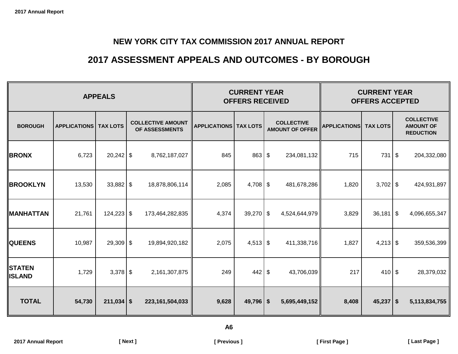# **2017 ASSESSMENT APPEALS AND OUTCOMES - BY BOROUGH**

<span id="page-26-0"></span>

|                                |                     | <b>CURRENT YEAR</b><br><b>OFFERS RECEIVED</b> |                                            | <b>CURRENT YEAR</b><br><b>OFFERS ACCEPTED</b> |             |  |                                             |                     |                 |    |                                                           |
|--------------------------------|---------------------|-----------------------------------------------|--------------------------------------------|-----------------------------------------------|-------------|--|---------------------------------------------|---------------------|-----------------|----|-----------------------------------------------------------|
| <b>BOROUGH</b>                 | <b>APPLICATIONS</b> | <b>TAX LOTS</b>                               | <b>COLLECTIVE AMOUNT</b><br>OF ASSESSMENTS | <b>APPLICATIONS   TAX LOTS</b>                |             |  | <b>COLLECTIVE</b><br><b>AMOUNT OF OFFER</b> | <b>APPLICATIONS</b> | <b>TAX LOTS</b> |    | <b>COLLECTIVE</b><br><b>AMOUNT OF</b><br><b>REDUCTION</b> |
| <b>BRONX</b>                   | 6,723               | $20,242$ \$                                   | 8,762,187,027                              | 845                                           | 863 \$      |  | 234,081,132                                 | 715                 | 731             | \$ | 204,332,080                                               |
| <b>BROOKLYN</b>                | 13,530              | $33,882$ \$                                   | 18,878,806,114                             | 2,085                                         | $4,708$ \$  |  | 481,678,286                                 | 1,820               | $3,702$ \$      |    | 424,931,897                                               |
| <b>MANHATTAN</b>               | 21,761              | $124,223$ \$                                  | 173,464,282,835                            | 4,374                                         | $39,270$ \$ |  | 4,524,644,979                               | 3,829               | $36,181$ \$     |    | 4,096,655,347                                             |
| <b>QUEENS</b>                  | 10,987              | $29,309$ \$                                   | 19,894,920,182                             | 2,075                                         | $4,513$ \$  |  | 411,338,716                                 | 1,827               | $4,213$ \$      |    | 359,536,399                                               |
| <b>STATEN</b><br><b>ISLAND</b> | 1,729               | $3,378$ \$                                    | 2,161,307,875                              | 249                                           | $442 \,$ \$ |  | 43,706,039                                  | 217                 | $410$ \$        |    | 28,379,032                                                |
| <b>TOTAL</b>                   | 54,730              | $211,034$ \$                                  | 223, 161, 504, 033                         | 9,628                                         | $49,796$ \$ |  | 5,695,449,152                               | 8,408               | $45,237$ \$     |    | 5,113,834,755                                             |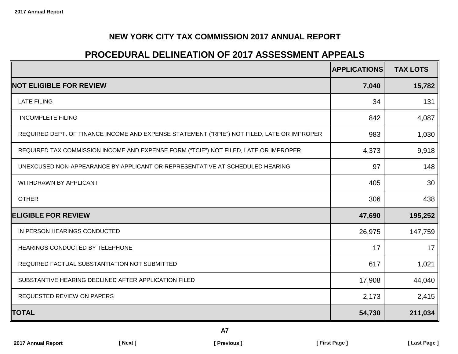# **PROCEDURAL DELINEATION OF 2017 ASSESSMENT APPEALS**

<span id="page-27-0"></span>

|                                                                                             | <b>APPLICATIONS</b> | <b>TAX LOTS</b> |
|---------------------------------------------------------------------------------------------|---------------------|-----------------|
| <b>NOT ELIGIBLE FOR REVIEW</b>                                                              | 7,040               | 15,782          |
| <b>LATE FILING</b>                                                                          | 34                  | 131             |
| <b>INCOMPLETE FILING</b>                                                                    | 842                 | 4,087           |
| REQUIRED DEPT. OF FINANCE INCOME AND EXPENSE STATEMENT ("RPIE") NOT FILED, LATE OR IMPROPER | 983                 | 1,030           |
| REQUIRED TAX COMMISSION INCOME AND EXPENSE FORM ("TCIE") NOT FILED, LATE OR IMPROPER        | 4,373               | 9,918           |
| UNEXCUSED NON-APPEARANCE BY APPLICANT OR REPRESENTATIVE AT SCHEDULED HEARING                | 97                  | 148             |
| WITHDRAWN BY APPLICANT                                                                      | 405                 | 30              |
| <b>OTHER</b>                                                                                | 306                 | 438             |
| <b>ELIGIBLE FOR REVIEW</b>                                                                  | 47,690              | 195,252         |
| IN PERSON HEARINGS CONDUCTED                                                                | 26,975              | 147,759         |
| HEARINGS CONDUCTED BY TELEPHONE                                                             | 17                  | 17              |
| REQUIRED FACTUAL SUBSTANTIATION NOT SUBMITTED                                               | 617                 | 1,021           |
| SUBSTANTIVE HEARING DECLINED AFTER APPLICATION FILED                                        | 17,908              | 44,040          |
| REQUESTED REVIEW ON PAPERS                                                                  | 2,173               | 2,415           |
| <b>TOTAL</b>                                                                                | 54,730              | 211,034         |

**A7**

**2017 Annual Report [ Next ] [ Previous ] [ First Page ] [ Last Page ]**